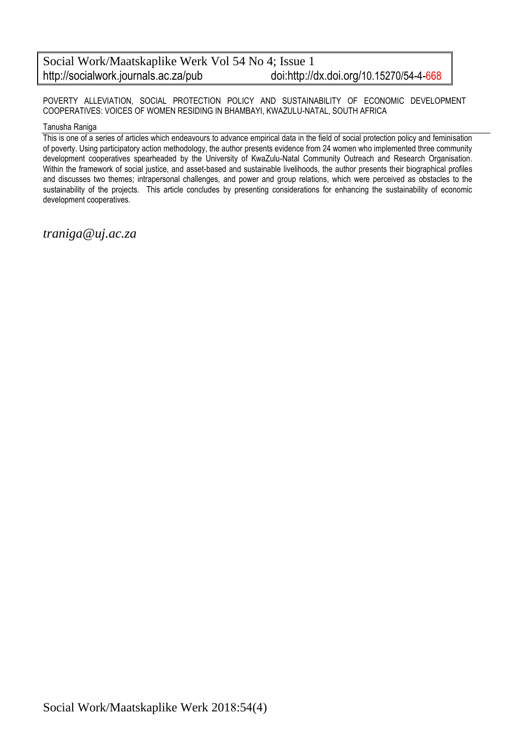POVERTY ALLEVIATION, SOCIAL PROTECTION POLICY AND SUSTAINABILITY OF ECONOMIC DEVELOPMENT COOPERATIVES: VOICES OF WOMEN RESIDING IN BHAMBAYI, KWAZULU-NATAL, SOUTH AFRICA

#### Tanusha Raniga

This is one of a series of articles which endeavours to advance empirical data in the field of social protection policy and feminisation of poverty. Using participatory action methodology, the author presents evidence from 24 women who implemented three community development cooperatives spearheaded by the University of KwaZulu-Natal Community Outreach and Research Organisation. Within the framework of social justice, and asset-based and sustainable livelihoods, the author presents their biographical profiles and discusses two themes; intrapersonal challenges, and power and group relations, which were perceived as obstacles to the sustainability of the projects. This article concludes by presenting considerations for enhancing the sustainability of economic development cooperatives.

*traniga@uj.ac.za*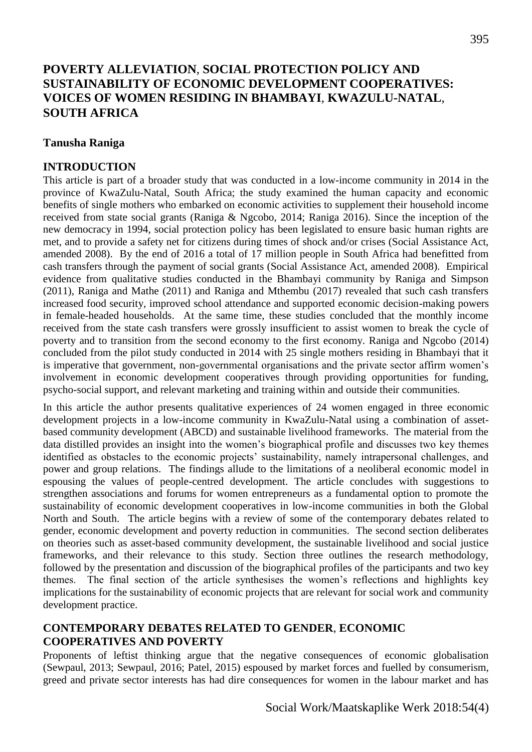# **POVERTY ALLEVIATION**, **SOCIAL PROTECTION POLICY AND SUSTAINABILITY OF ECONOMIC DEVELOPMENT COOPERATIVES: VOICES OF WOMEN RESIDING IN BHAMBAYI**, **KWAZULU-NATAL**, **SOUTH AFRICA**

## **Tanusha Raniga**

### **INTRODUCTION**

This article is part of a broader study that was conducted in a low-income community in 2014 in the province of KwaZulu-Natal, South Africa; the study examined the human capacity and economic benefits of single mothers who embarked on economic activities to supplement their household income received from state social grants (Raniga & Ngcobo, 2014; Raniga 2016). Since the inception of the new democracy in 1994, social protection policy has been legislated to ensure basic human rights are met, and to provide a safety net for citizens during times of shock and/or crises (Social Assistance Act, amended 2008). By the end of 2016 a total of 17 million people in South Africa had benefitted from cash transfers through the payment of social grants (Social Assistance Act, amended 2008). Empirical evidence from qualitative studies conducted in the Bhambayi community by Raniga and Simpson (2011), Raniga and Mathe (2011) and Raniga and Mthembu (2017) revealed that such cash transfers increased food security, improved school attendance and supported economic decision-making powers in female-headed households. At the same time, these studies concluded that the monthly income received from the state cash transfers were grossly insufficient to assist women to break the cycle of poverty and to transition from the second economy to the first economy. Raniga and Ngcobo (2014) concluded from the pilot study conducted in 2014 with 25 single mothers residing in Bhambayi that it is imperative that government, non-governmental organisations and the private sector affirm women's involvement in economic development cooperatives through providing opportunities for funding, psycho-social support, and relevant marketing and training within and outside their communities.

In this article the author presents qualitative experiences of 24 women engaged in three economic development projects in a low-income community in KwaZulu-Natal using a combination of assetbased community development (ABCD) and sustainable livelihood frameworks. The material from the data distilled provides an insight into the women's biographical profile and discusses two key themes identified as obstacles to the economic projects' sustainability, namely intrapersonal challenges, and power and group relations. The findings allude to the limitations of a neoliberal economic model in espousing the values of people-centred development. The article concludes with suggestions to strengthen associations and forums for women entrepreneurs as a fundamental option to promote the sustainability of economic development cooperatives in low-income communities in both the Global North and South. The article begins with a review of some of the contemporary debates related to gender, economic development and poverty reduction in communities. The second section deliberates on theories such as asset-based community development, the sustainable livelihood and social justice frameworks, and their relevance to this study. Section three outlines the research methodology, followed by the presentation and discussion of the biographical profiles of the participants and two key themes. The final section of the article synthesises the women's reflections and highlights key implications for the sustainability of economic projects that are relevant for social work and community development practice.

## **CONTEMPORARY DEBATES RELATED TO GENDER**, **ECONOMIC COOPERATIVES AND POVERTY**

Proponents of leftist thinking argue that the negative consequences of economic globalisation (Sewpaul, 2013; Sewpaul, 2016; Patel, 2015) espoused by market forces and fuelled by consumerism, greed and private sector interests has had dire consequences for women in the labour market and has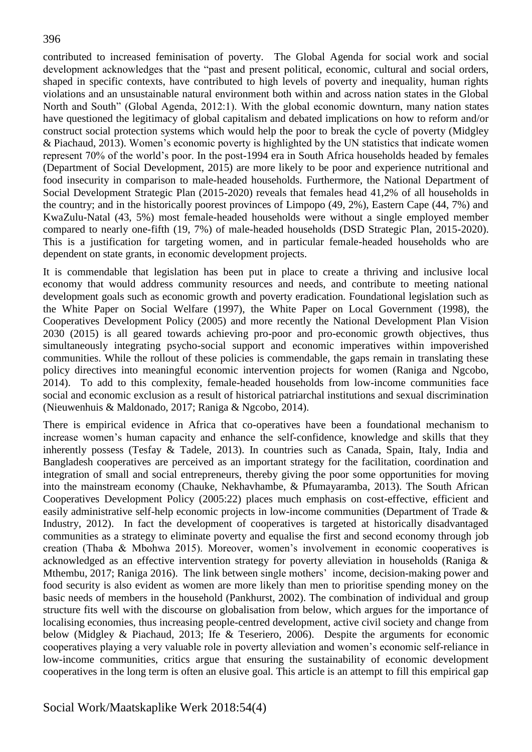contributed to increased feminisation of poverty. The Global Agenda for social work and social development acknowledges that the "past and present political, economic, cultural and social orders, shaped in specific contexts, have contributed to high levels of poverty and inequality, human rights violations and an unsustainable natural environment both within and across nation states in the Global North and South" (Global Agenda, 2012:1). With the global economic downturn, many nation states have questioned the legitimacy of global capitalism and debated implications on how to reform and/or construct social protection systems which would help the poor to break the cycle of poverty (Midgley & Piachaud, 2013). Women's economic poverty is highlighted by the UN statistics that indicate women represent 70% of the world's poor. In the post-1994 era in South Africa households headed by females (Department of Social Development, 2015) are more likely to be poor and experience nutritional and food insecurity in comparison to male-headed households. Furthermore, the National Department of Social Development Strategic Plan (2015-2020) reveals that females head 41,2% of all households in the country; and in the historically poorest provinces of Limpopo (49, 2%), Eastern Cape (44, 7%) and KwaZulu-Natal (43, 5%) most female-headed households were without a single employed member compared to nearly one-fifth (19, 7%) of male-headed households (DSD Strategic Plan, 2015-2020). This is a justification for targeting women, and in particular female-headed households who are dependent on state grants, in economic development projects.

It is commendable that legislation has been put in place to create a thriving and inclusive local economy that would address community resources and needs, and contribute to meeting national development goals such as economic growth and poverty eradication. Foundational legislation such as the White Paper on Social Welfare (1997), the White Paper on Local Government (1998), the Cooperatives Development Policy (2005) and more recently the National Development Plan Vision 2030 (2015) is all geared towards achieving pro-poor and pro-economic growth objectives, thus simultaneously integrating psycho-social support and economic imperatives within impoverished communities. While the rollout of these policies is commendable, the gaps remain in translating these policy directives into meaningful economic intervention projects for women (Raniga and Ngcobo, 2014). To add to this complexity, female-headed households from low-income communities face social and economic exclusion as a result of historical patriarchal institutions and sexual discrimination (Nieuwenhuis & Maldonado, 2017; Raniga & Ngcobo, 2014).

There is empirical evidence in Africa that co-operatives have been a foundational mechanism to increase women's human capacity and enhance the self-confidence, knowledge and skills that they inherently possess (Tesfay & Tadele, 2013). In countries such as Canada, Spain, Italy, India and Bangladesh cooperatives are perceived as an important strategy for the facilitation, coordination and integration of small and social entrepreneurs, thereby giving the poor some opportunities for moving into the mainstream economy (Chauke, Nekhavhambe, & Pfumayaramba, 2013). The South African Cooperatives Development Policy (2005:22) places much emphasis on cost-effective, efficient and easily administrative self-help economic projects in low-income communities (Department of Trade & Industry, 2012). In fact the development of cooperatives is targeted at historically disadvantaged communities as a strategy to eliminate poverty and equalise the first and second economy through job creation (Thaba & Mbohwa 2015). Moreover, women's involvement in economic cooperatives is acknowledged as an effective intervention strategy for poverty alleviation in households (Raniga & Mthembu, 2017; Raniga 2016). The link between single mothers' income, decision-making power and food security is also evident as women are more likely than men to prioritise spending money on the basic needs of members in the household (Pankhurst, 2002). The combination of individual and group structure fits well with the discourse on globalisation from below, which argues for the importance of localising economies, thus increasing people-centred development, active civil society and change from below (Midgley & Piachaud, 2013; Ife & Teseriero, 2006). Despite the arguments for economic cooperatives playing a very valuable role in poverty alleviation and women's economic self-reliance in low-income communities, critics argue that ensuring the sustainability of economic development cooperatives in the long term is often an elusive goal. This article is an attempt to fill this empirical gap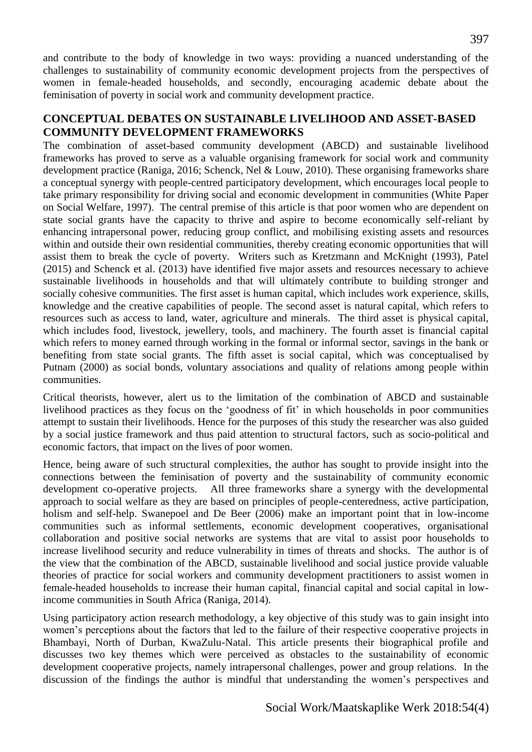and contribute to the body of knowledge in two ways: providing a nuanced understanding of the challenges to sustainability of community economic development projects from the perspectives of women in female-headed households, and secondly, encouraging academic debate about the feminisation of poverty in social work and community development practice.

## **CONCEPTUAL DEBATES ON SUSTAINABLE LIVELIHOOD AND ASSET-BASED COMMUNITY DEVELOPMENT FRAMEWORKS**

The combination of asset-based community development (ABCD) and sustainable livelihood frameworks has proved to serve as a valuable organising framework for social work and community development practice (Raniga, 2016; Schenck, Nel & Louw, 2010). These organising frameworks share a conceptual synergy with people-centred participatory development, which encourages local people to take primary responsibility for driving social and economic development in communities (White Paper on Social Welfare, 1997). The central premise of this article is that poor women who are dependent on state social grants have the capacity to thrive and aspire to become economically self-reliant by enhancing intrapersonal power, reducing group conflict, and mobilising existing assets and resources within and outside their own residential communities, thereby creating economic opportunities that will assist them to break the cycle of poverty. Writers such as Kretzmann and McKnight (1993), Patel (2015) and Schenck et al. (2013) have identified five major assets and resources necessary to achieve sustainable livelihoods in households and that will ultimately contribute to building stronger and socially cohesive communities. The first asset is human capital, which includes work experience, skills, knowledge and the creative capabilities of people. The second asset is natural capital, which refers to resources such as access to land, water, agriculture and minerals. The third asset is physical capital, which includes food, livestock, jewellery, tools, and machinery. The fourth asset is financial capital which refers to money earned through working in the formal or informal sector, savings in the bank or benefiting from state social grants. The fifth asset is social capital, which was conceptualised by Putnam (2000) as social bonds, voluntary associations and quality of relations among people within communities.

Critical theorists, however, alert us to the limitation of the combination of ABCD and sustainable livelihood practices as they focus on the 'goodness of fit' in which households in poor communities attempt to sustain their livelihoods. Hence for the purposes of this study the researcher was also guided by a social justice framework and thus paid attention to structural factors, such as socio-political and economic factors, that impact on the lives of poor women.

Hence, being aware of such structural complexities, the author has sought to provide insight into the connections between the feminisation of poverty and the sustainability of community economic development co-operative projects. All three frameworks share a synergy with the developmental approach to social welfare as they are based on principles of people-centeredness, active participation, holism and self-help. Swanepoel and De Beer (2006) make an important point that in low-income communities such as informal settlements, economic development cooperatives, organisational collaboration and positive social networks are systems that are vital to assist poor households to increase livelihood security and reduce vulnerability in times of threats and shocks. The author is of the view that the combination of the ABCD, sustainable livelihood and social justice provide valuable theories of practice for social workers and community development practitioners to assist women in female-headed households to increase their human capital, financial capital and social capital in lowincome communities in South Africa (Raniga, 2014).

Using participatory action research methodology, a key objective of this study was to gain insight into women's perceptions about the factors that led to the failure of their respective cooperative projects in Bhambayi, North of Durban, KwaZulu-Natal. This article presents their biographical profile and discusses two key themes which were perceived as obstacles to the sustainability of economic development cooperative projects, namely intrapersonal challenges, power and group relations. In the discussion of the findings the author is mindful that understanding the women's perspectives and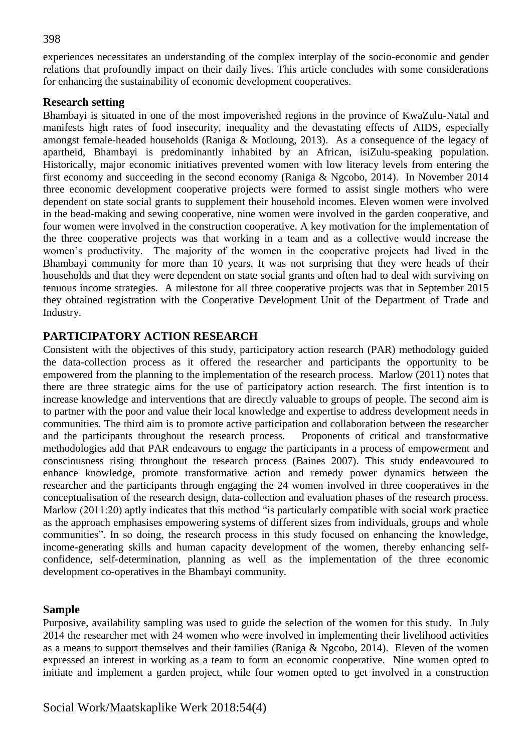experiences necessitates an understanding of the complex interplay of the socio-economic and gender relations that profoundly impact on their daily lives. This article concludes with some considerations for enhancing the sustainability of economic development cooperatives.

#### **Research setting**

Bhambayi is situated in one of the most impoverished regions in the province of KwaZulu-Natal and manifests high rates of food insecurity, inequality and the devastating effects of AIDS, especially amongst female-headed households (Raniga & Motloung, 2013). As a consequence of the legacy of apartheid, Bhambayi is predominantly inhabited by an African, isiZulu-speaking population. Historically, major economic initiatives prevented women with low literacy levels from entering the first economy and succeeding in the second economy (Raniga & Ngcobo, 2014). In November 2014 three economic development cooperative projects were formed to assist single mothers who were dependent on state social grants to supplement their household incomes. Eleven women were involved in the bead-making and sewing cooperative, nine women were involved in the garden cooperative, and four women were involved in the construction cooperative. A key motivation for the implementation of the three cooperative projects was that working in a team and as a collective would increase the women's productivity. The majority of the women in the cooperative projects had lived in the Bhambayi community for more than 10 years. It was not surprising that they were heads of their households and that they were dependent on state social grants and often had to deal with surviving on tenuous income strategies. A milestone for all three cooperative projects was that in September 2015 they obtained registration with the Cooperative Development Unit of the Department of Trade and Industry.

## **PARTICIPATORY ACTION RESEARCH**

Consistent with the objectives of this study, participatory action research (PAR) methodology guided the data-collection process as it offered the researcher and participants the opportunity to be empowered from the planning to the implementation of the research process. Marlow (2011) notes that there are three strategic aims for the use of participatory action research. The first intention is to increase knowledge and interventions that are directly valuable to groups of people. The second aim is to partner with the poor and value their local knowledge and expertise to address development needs in communities. The third aim is to promote active participation and collaboration between the researcher and the participants throughout the research process. Proponents of critical and transformative methodologies add that PAR endeavours to engage the participants in a process of empowerment and consciousness rising throughout the research process (Baines 2007). This study endeavoured to enhance knowledge, promote transformative action and remedy power dynamics between the researcher and the participants through engaging the 24 women involved in three cooperatives in the conceptualisation of the research design, data-collection and evaluation phases of the research process. Marlow (2011:20) aptly indicates that this method "is particularly compatible with social work practice as the approach emphasises empowering systems of different sizes from individuals, groups and whole communities". In so doing, the research process in this study focused on enhancing the knowledge, income-generating skills and human capacity development of the women, thereby enhancing selfconfidence, self-determination, planning as well as the implementation of the three economic development co-operatives in the Bhambayi community.

### **Sample**

Purposive, availability sampling was used to guide the selection of the women for this study. In July 2014 the researcher met with 24 women who were involved in implementing their livelihood activities as a means to support themselves and their families (Raniga & Ngcobo, 2014). Eleven of the women expressed an interest in working as a team to form an economic cooperative. Nine women opted to initiate and implement a garden project, while four women opted to get involved in a construction

#### 398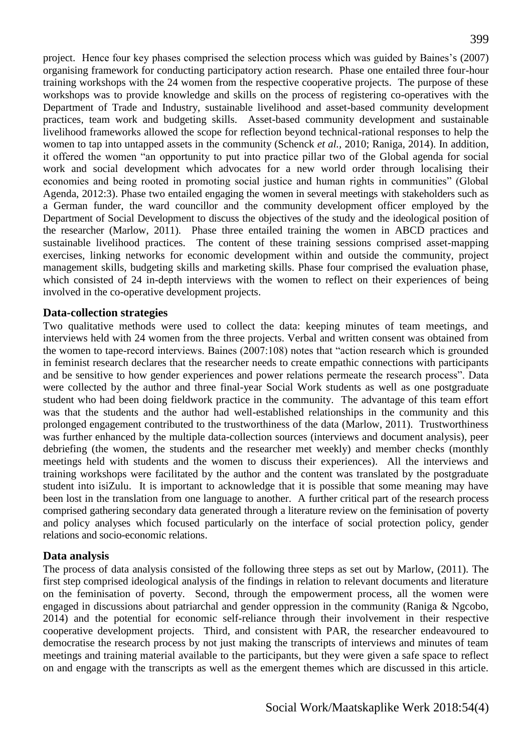project. Hence four key phases comprised the selection process which was guided by Baines's (2007) organising framework for conducting participatory action research. Phase one entailed three four-hour training workshops with the 24 women from the respective cooperative projects. The purpose of these workshops was to provide knowledge and skills on the process of registering co-operatives with the Department of Trade and Industry, sustainable livelihood and asset-based community development practices, team work and budgeting skills. Asset-based community development and sustainable livelihood frameworks allowed the scope for reflection beyond technical-rational responses to help the women to tap into untapped assets in the community (Schenck *et al.,* 2010; Raniga, 2014). In addition, it offered the women "an opportunity to put into practice pillar two of the Global agenda for social work and social development which advocates for a new world order through localising their economies and being rooted in promoting social justice and human rights in communities" (Global Agenda, 2012:3). Phase two entailed engaging the women in several meetings with stakeholders such as a German funder, the ward councillor and the community development officer employed by the Department of Social Development to discuss the objectives of the study and the ideological position of the researcher (Marlow, 2011). Phase three entailed training the women in ABCD practices and sustainable livelihood practices. The content of these training sessions comprised asset-mapping exercises, linking networks for economic development within and outside the community, project management skills, budgeting skills and marketing skills. Phase four comprised the evaluation phase, which consisted of 24 in-depth interviews with the women to reflect on their experiences of being involved in the co-operative development projects.

#### **Data-collection strategies**

Two qualitative methods were used to collect the data: keeping minutes of team meetings, and interviews held with 24 women from the three projects. Verbal and written consent was obtained from the women to tape-record interviews. Baines (2007:108) notes that "action research which is grounded in feminist research declares that the researcher needs to create empathic connections with participants and be sensitive to how gender experiences and power relations permeate the research process". Data were collected by the author and three final-year Social Work students as well as one postgraduate student who had been doing fieldwork practice in the community. The advantage of this team effort was that the students and the author had well-established relationships in the community and this prolonged engagement contributed to the trustworthiness of the data (Marlow, 2011). Trustworthiness was further enhanced by the multiple data-collection sources (interviews and document analysis), peer debriefing (the women, the students and the researcher met weekly) and member checks (monthly meetings held with students and the women to discuss their experiences). All the interviews and training workshops were facilitated by the author and the content was translated by the postgraduate student into isiZulu. It is important to acknowledge that it is possible that some meaning may have been lost in the translation from one language to another. A further critical part of the research process comprised gathering secondary data generated through a literature review on the feminisation of poverty and policy analyses which focused particularly on the interface of social protection policy, gender relations and socio-economic relations.

### **Data analysis**

The process of data analysis consisted of the following three steps as set out by Marlow, (2011). The first step comprised ideological analysis of the findings in relation to relevant documents and literature on the feminisation of poverty. Second, through the empowerment process, all the women were engaged in discussions about patriarchal and gender oppression in the community (Raniga & Ngcobo, 2014) and the potential for economic self-reliance through their involvement in their respective cooperative development projects. Third, and consistent with PAR, the researcher endeavoured to democratise the research process by not just making the transcripts of interviews and minutes of team meetings and training material available to the participants, but they were given a safe space to reflect on and engage with the transcripts as well as the emergent themes which are discussed in this article.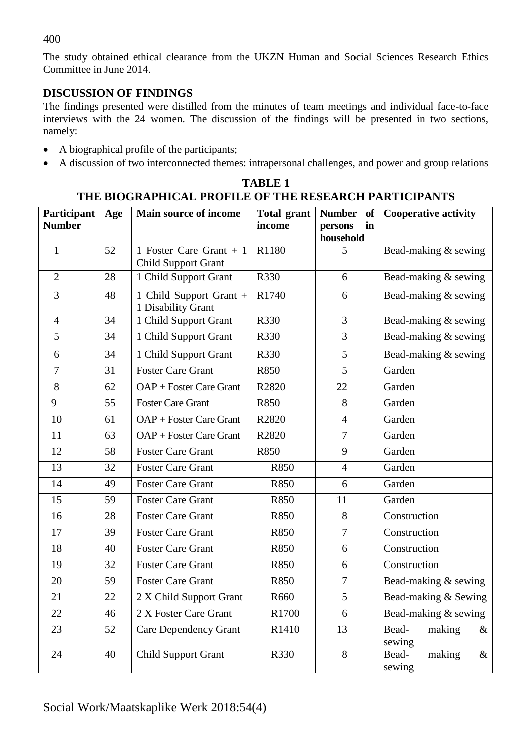## 400

The study obtained ethical clearance from the UKZN Human and Social Sciences Research Ethics Committee in June 2014.

# **DISCUSSION OF FINDINGS**

The findings presented were distilled from the minutes of team meetings and individual face-to-face interviews with the 24 women. The discussion of the findings will be presented in two sections, namely:

- A biographical profile of the participants;
- A discussion of two interconnected themes: intrapersonal challenges, and power and group relations

| THE DIVONAL HIUALI NOT ILL OF THE NEGLANUH FANTIUH ARTIS |     |                                                        |                              |                                                   |                                   |
|----------------------------------------------------------|-----|--------------------------------------------------------|------------------------------|---------------------------------------------------|-----------------------------------|
| Participant<br><b>Number</b>                             | Age | <b>Main source of income</b>                           | <b>Total grant</b><br>income | <b>Number</b><br>of<br>in<br>persons<br>household | <b>Cooperative activity</b>       |
| $\mathbf{1}$                                             | 52  | 1 Foster Care Grant $+1$<br><b>Child Support Grant</b> | R1180                        | 5                                                 | Bead-making & sewing              |
| $\overline{2}$                                           | 28  | 1 Child Support Grant                                  | R330                         | 6                                                 | Bead-making & sewing              |
| 3                                                        | 48  | 1 Child Support Grant +<br>1 Disability Grant          | R1740                        | 6                                                 | Bead-making & sewing              |
| 4                                                        | 34  | 1 Child Support Grant                                  | R330                         | 3                                                 | Bead-making & sewing              |
| 5                                                        | 34  | 1 Child Support Grant                                  | R330                         | 3                                                 | Bead-making & sewing              |
| 6                                                        | 34  | 1 Child Support Grant                                  | R330                         | 5                                                 | Bead-making & sewing              |
| $\overline{7}$                                           | 31  | <b>Foster Care Grant</b>                               | R850                         | 5                                                 | Garden                            |
| 8                                                        | 62  | OAP + Foster Care Grant                                | R2820                        | 22                                                | Garden                            |
| 9                                                        | 55  | <b>Foster Care Grant</b>                               | R850                         | 8                                                 | Garden                            |
| 10                                                       | 61  | OAP + Foster Care Grant                                | R2820                        | $\overline{4}$                                    | Garden                            |
| 11                                                       | 63  | OAP + Foster Care Grant                                | R2820                        | $\overline{7}$                                    | Garden                            |
| 12                                                       | 58  | <b>Foster Care Grant</b>                               | R850                         | 9                                                 | Garden                            |
| 13                                                       | 32  | <b>Foster Care Grant</b>                               | R850                         | 4                                                 | Garden                            |
| 14                                                       | 49  | <b>Foster Care Grant</b>                               | R850                         | 6                                                 | Garden                            |
| 15                                                       | 59  | <b>Foster Care Grant</b>                               | R850                         | 11                                                | Garden                            |
| 16                                                       | 28  | <b>Foster Care Grant</b>                               | R850                         | 8                                                 | Construction                      |
| 17                                                       | 39  | <b>Foster Care Grant</b>                               | R850                         | $\overline{7}$                                    | Construction                      |
| 18                                                       | 40  | <b>Foster Care Grant</b>                               | R850                         | 6                                                 | Construction                      |
| 19                                                       | 32  | <b>Foster Care Grant</b>                               | R850                         | 6                                                 | Construction                      |
| 20                                                       | 59  | <b>Foster Care Grant</b>                               | R850                         | $\overline{7}$                                    | Bead-making & sewing              |
| 21                                                       | 22  | 2 X Child Support Grant                                | R660                         | 5                                                 | Bead-making & Sewing              |
| 22                                                       | 46  | 2 X Foster Care Grant                                  | R1700                        | 6                                                 | Bead-making & sewing              |
| 23                                                       | 52  | <b>Care Dependency Grant</b>                           | R1410                        | 13                                                | making<br>Bead-<br>$\&$<br>sewing |
| 24                                                       | 40  | <b>Child Support Grant</b>                             | R330                         | $\overline{8}$                                    | making<br>$\&$<br>Bead-<br>sewing |

# **TABLE 1 THE BIOGRAPHICAL PROFILE OF THE RESEARCH PARTICIPANTS**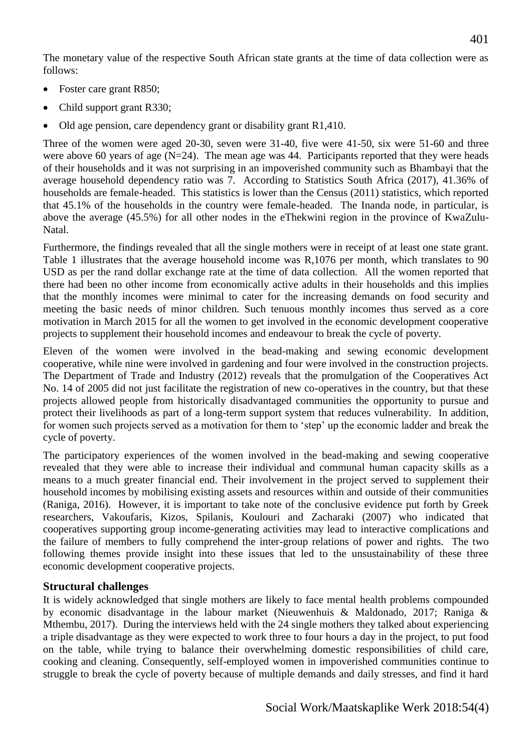The monetary value of the respective South African state grants at the time of data collection were as follows:

- Foster care grant R850;
- Child support grant R330;
- Old age pension, care dependency grant or disability grant R1,410.

Three of the women were aged 20-30, seven were 31-40, five were 41-50, six were 51-60 and three were above 60 years of age (N=24). The mean age was 44. Participants reported that they were heads of their households and it was not surprising in an impoverished community such as Bhambayi that the average household dependency ratio was 7. According to Statistics South Africa (2017), 41.36% of households are female-headed. This statistics is lower than the Census (2011) statistics, which reported that 45.1% of the households in the country were female-headed. The Inanda node, in particular, is above the average (45.5%) for all other nodes in the eThekwini region in the province of KwaZulu-Natal.

Furthermore, the findings revealed that all the single mothers were in receipt of at least one state grant. Table 1 illustrates that the average household income was R,1076 per month, which translates to 90 USD as per the rand dollar exchange rate at the time of data collection. All the women reported that there had been no other income from economically active adults in their households and this implies that the monthly incomes were minimal to cater for the increasing demands on food security and meeting the basic needs of minor children. Such tenuous monthly incomes thus served as a core motivation in March 2015 for all the women to get involved in the economic development cooperative projects to supplement their household incomes and endeavour to break the cycle of poverty.

Eleven of the women were involved in the bead-making and sewing economic development cooperative, while nine were involved in gardening and four were involved in the construction projects. The Department of Trade and Industry (2012) reveals that the promulgation of the Cooperatives Act No. 14 of 2005 did not just facilitate the registration of new co-operatives in the country, but that these projects allowed people from historically disadvantaged communities the opportunity to pursue and protect their livelihoods as part of a long-term support system that reduces vulnerability. In addition, for women such projects served as a motivation for them to 'step' up the economic ladder and break the cycle of poverty.

The participatory experiences of the women involved in the bead-making and sewing cooperative revealed that they were able to increase their individual and communal human capacity skills as a means to a much greater financial end. Their involvement in the project served to supplement their household incomes by mobilising existing assets and resources within and outside of their communities (Raniga, 2016). However, it is important to take note of the conclusive evidence put forth by Greek researchers, Vakoufaris, Kizos, Spilanis, Koulouri and Zacharaki (2007) who indicated that cooperatives supporting group income-generating activities may lead to interactive complications and the failure of members to fully comprehend the inter-group relations of power and rights. The two following themes provide insight into these issues that led to the unsustainability of these three economic development cooperative projects.

### **Structural challenges**

It is widely acknowledged that single mothers are likely to face mental health problems compounded by economic disadvantage in the labour market (Nieuwenhuis & Maldonado, 2017; Raniga & Mthembu, 2017). During the interviews held with the 24 single mothers they talked about experiencing a triple disadvantage as they were expected to work three to four hours a day in the project, to put food on the table, while trying to balance their overwhelming domestic responsibilities of child care, cooking and cleaning. Consequently, self-employed women in impoverished communities continue to struggle to break the cycle of poverty because of multiple demands and daily stresses, and find it hard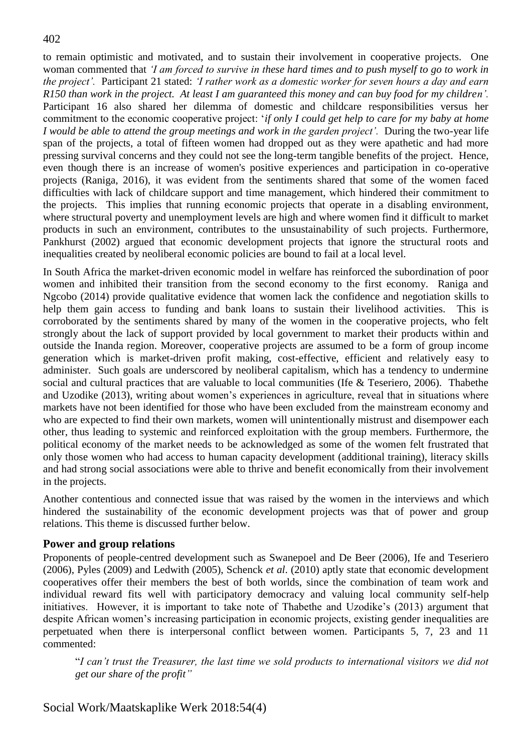to remain optimistic and motivated, and to sustain their involvement in cooperative projects. One woman commented that *'I am forced to survive in these hard times and to push myself to go to work in the project'.* Participant 21 stated: *'I rather work as a domestic worker for seven hours a day and earn R150 than work in the project. At least I am guaranteed this money and can buy food for my children'.*  Participant 16 also shared her dilemma of domestic and childcare responsibilities versus her commitment to the economic cooperative project: '*if only I could get help to care for my baby at home I* would be able to attend the group meetings and work in the garden project'. During the two-year life span of the projects, a total of fifteen women had dropped out as they were apathetic and had more pressing survival concerns and they could not see the long-term tangible benefits of the project. Hence, even though there is an increase of women's positive experiences and participation in co-operative projects (Raniga, 2016), it was evident from the sentiments shared that some of the women faced difficulties with lack of childcare support and time management, which hindered their commitment to the projects. This implies that running economic projects that operate in a disabling environment, where structural poverty and unemployment levels are high and where women find it difficult to market products in such an environment, contributes to the unsustainability of such projects. Furthermore, Pankhurst (2002) argued that economic development projects that ignore the structural roots and inequalities created by neoliberal economic policies are bound to fail at a local level.

In South Africa the market-driven economic model in welfare has reinforced the subordination of poor women and inhibited their transition from the second economy to the first economy. Raniga and Ngcobo (2014) provide qualitative evidence that women lack the confidence and negotiation skills to help them gain access to funding and bank loans to sustain their livelihood activities. This is corroborated by the sentiments shared by many of the women in the cooperative projects, who felt strongly about the lack of support provided by local government to market their products within and outside the Inanda region. Moreover, cooperative projects are assumed to be a form of group income generation which is market-driven profit making, cost-effective, efficient and relatively easy to administer. Such goals are underscored by neoliberal capitalism, which has a tendency to undermine social and cultural practices that are valuable to local communities (Ife & Teseriero, 2006). Thabethe and Uzodike (2013), writing about women's experiences in agriculture, reveal that in situations where markets have not been identified for those who have been excluded from the mainstream economy and who are expected to find their own markets, women will unintentionally mistrust and disempower each other, thus leading to systemic and reinforced exploitation with the group members. Furthermore, the political economy of the market needs to be acknowledged as some of the women felt frustrated that only those women who had access to human capacity development (additional training), literacy skills and had strong social associations were able to thrive and benefit economically from their involvement in the projects.

Another contentious and connected issue that was raised by the women in the interviews and which hindered the sustainability of the economic development projects was that of power and group relations. This theme is discussed further below.

## **Power and group relations**

Proponents of people-centred development such as Swanepoel and De Beer (2006), Ife and Teseriero (2006), Pyles (2009) and Ledwith (2005), Schenck *et al*. (2010) aptly state that economic development cooperatives offer their members the best of both worlds, since the combination of team work and individual reward fits well with participatory democracy and valuing local community self-help initiatives. However, it is important to take note of Thabethe and Uzodike's (2013) argument that despite African women's increasing participation in economic projects, existing gender inequalities are perpetuated when there is interpersonal conflict between women. Participants 5, 7, 23 and 11 commented:

"*I can't trust the Treasurer, the last time we sold products to international visitors we did not get our share of the profit"*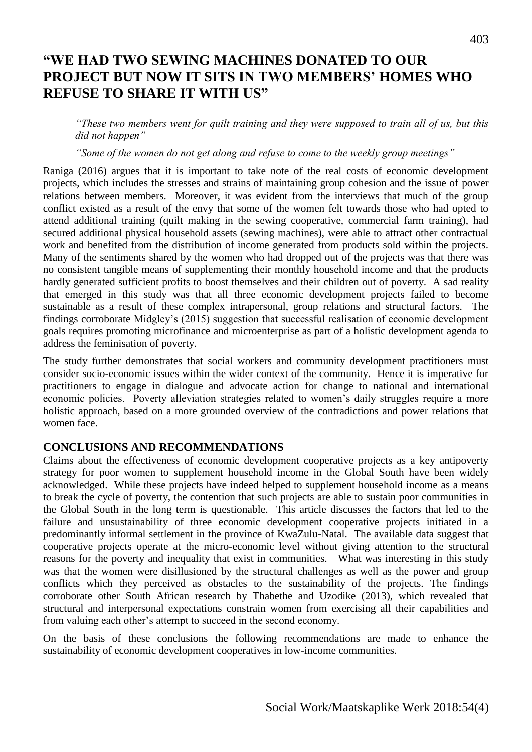# **"WE HAD TWO SEWING MACHINES DONATED TO OUR PROJECT BUT NOW IT SITS IN TWO MEMBERS' HOMES WHO REFUSE TO SHARE IT WITH US"**

*"These two members went for quilt training and they were supposed to train all of us, but this did not happen"*

*"Some of the women do not get along and refuse to come to the weekly group meetings"*

Raniga (2016) argues that it is important to take note of the real costs of economic development projects, which includes the stresses and strains of maintaining group cohesion and the issue of power relations between members. Moreover, it was evident from the interviews that much of the group conflict existed as a result of the envy that some of the women felt towards those who had opted to attend additional training (quilt making in the sewing cooperative, commercial farm training), had secured additional physical household assets (sewing machines), were able to attract other contractual work and benefited from the distribution of income generated from products sold within the projects. Many of the sentiments shared by the women who had dropped out of the projects was that there was no consistent tangible means of supplementing their monthly household income and that the products hardly generated sufficient profits to boost themselves and their children out of poverty. A sad reality that emerged in this study was that all three economic development projects failed to become sustainable as a result of these complex intrapersonal, group relations and structural factors. The findings corroborate Midgley's (2015) suggestion that successful realisation of economic development goals requires promoting microfinance and microenterprise as part of a holistic development agenda to address the feminisation of poverty.

The study further demonstrates that social workers and community development practitioners must consider socio-economic issues within the wider context of the community. Hence it is imperative for practitioners to engage in dialogue and advocate action for change to national and international economic policies. Poverty alleviation strategies related to women's daily struggles require a more holistic approach, based on a more grounded overview of the contradictions and power relations that women face.

#### **CONCLUSIONS AND RECOMMENDATIONS**

Claims about the effectiveness of economic development cooperative projects as a key antipoverty strategy for poor women to supplement household income in the Global South have been widely acknowledged. While these projects have indeed helped to supplement household income as a means to break the cycle of poverty, the contention that such projects are able to sustain poor communities in the Global South in the long term is questionable. This article discusses the factors that led to the failure and unsustainability of three economic development cooperative projects initiated in a predominantly informal settlement in the province of KwaZulu-Natal. The available data suggest that cooperative projects operate at the micro-economic level without giving attention to the structural reasons for the poverty and inequality that exist in communities. What was interesting in this study was that the women were disillusioned by the structural challenges as well as the power and group conflicts which they perceived as obstacles to the sustainability of the projects. The findings corroborate other South African research by Thabethe and Uzodike (2013), which revealed that structural and interpersonal expectations constrain women from exercising all their capabilities and from valuing each other's attempt to succeed in the second economy.

On the basis of these conclusions the following recommendations are made to enhance the sustainability of economic development cooperatives in low-income communities.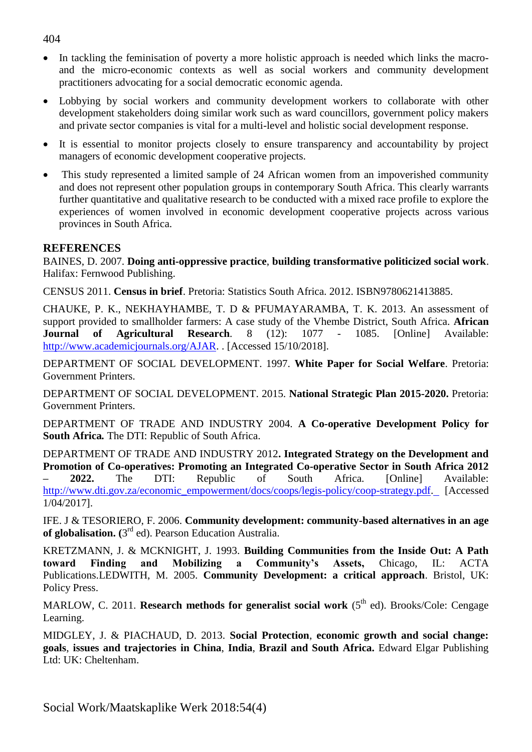- In tackling the feminisation of poverty a more holistic approach is needed which links the macroand the micro-economic contexts as well as social workers and community development practitioners advocating for a social democratic economic agenda.
- Lobbying by social workers and community development workers to collaborate with other development stakeholders doing similar work such as ward councillors, government policy makers and private sector companies is vital for a multi-level and holistic social development response.
- It is essential to monitor projects closely to ensure transparency and accountability by project managers of economic development cooperative projects.
- This study represented a limited sample of 24 African women from an impoverished community and does not represent other population groups in contemporary South Africa. This clearly warrants further quantitative and qualitative research to be conducted with a mixed race profile to explore the experiences of women involved in economic development cooperative projects across various provinces in South Africa.

### **REFERENCES**

BAINES, D. 2007. **Doing anti-oppressive practice**, **building transformative politicized social work**. Halifax: Fernwood Publishing.

CENSUS 2011. **Census in brief**. Pretoria: Statistics South Africa. 2012. ISBN9780621413885.

CHAUKE, P. K., NEKHAYHAMBE, T. D & PFUMAYARAMBA, T. K. 2013. An assessment of support provided to smallholder farmers: A case study of the Vhembe District, South Africa. **African Journal of Agricultural Research***.* 8 (12): 1077 - 1085. [Online] Available: [http://www.academicjournals.org/AJAR.](http://www.academicjournals.org/AJAR) . [Accessed 15/10/2018].

DEPARTMENT OF SOCIAL DEVELOPMENT. 1997. **White Paper for Social Welfare**. Pretoria: Government Printers.

DEPARTMENT OF SOCIAL DEVELOPMENT. 2015. **National Strategic Plan 2015-2020.** Pretoria: Government Printers.

DEPARTMENT OF TRADE AND INDUSTRY 2004. **A Co-operative Development Policy for South Africa***.* The DTI: Republic of South Africa.

DEPARTMENT OF TRADE AND INDUSTRY 2012**. Integrated Strategy on the Development and Promotion of Co-operatives: Promoting an Integrated Co-operative Sector in South Africa 2012 – 2022.** The DTI: Republic of South Africa. [Online] Available: [http://www.dti.gov.za/economic\\_empowerment/docs/coops/legis-policy/coop-strategy.pdf.](http://www.dti.gov.za/economic_empowerment/docs/coops/legis-policy/coop-strategy.pdf) [Accessed] 1/04/2017].

IFE. J & TESORIERO, F. 2006. **Community development: community-based alternatives in an age**  of globalisation. (3<sup>rd</sup> ed). Pearson Education Australia.

KRETZMANN, J. & MCKNIGHT, J. 1993. **Building Communities from the Inside Out: A Path toward Finding and Mobilizing a Community's Assets,** Chicago, IL: ACTA Publications.LEDWITH, M. 2005. **Community Development: a critical approach**. Bristol, UK: Policy Press.

MARLOW, C. 2011. **Research methods for generalist social work** (5<sup>th</sup> ed). Brooks/Cole: Cengage Learning.

MIDGLEY, J. & PIACHAUD, D. 2013. **Social Protection**, **economic growth and social change: goals**, **issues and trajectories in China**, **India**, **Brazil and South Africa.** Edward Elgar Publishing Ltd: UK: Cheltenham.

#### 404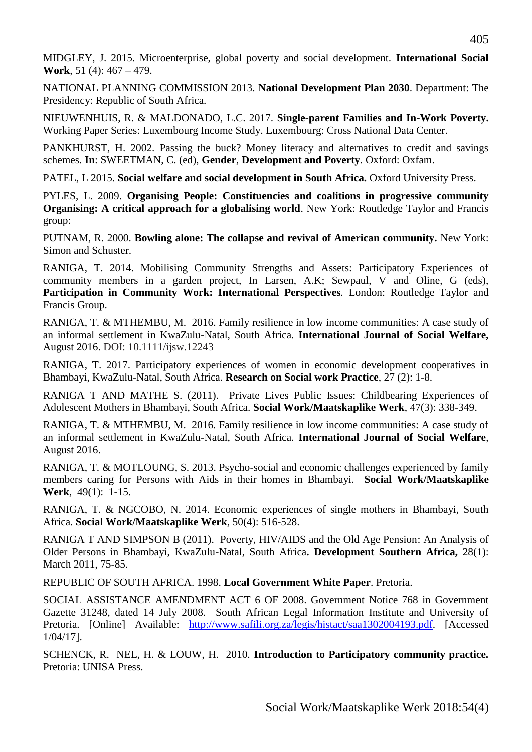MIDGLEY, J. 2015. Microenterprise, global poverty and social development. **International Social Work**, 51 (4): 467 – 479.

NATIONAL PLANNING COMMISSION 2013. **National Development Plan 2030**. Department: The Presidency: Republic of South Africa.

NIEUWENHUIS, R. & MALDONADO, L.C. 2017. **Single-parent Families and In-Work Poverty.** Working Paper Series: Luxembourg Income Study. Luxembourg: Cross National Data Center.

PANKHURST, H. 2002. Passing the buck? Money literacy and alternatives to credit and savings schemes. **In**: SWEETMAN, C. (ed), **Gender**, **Development and Poverty**. Oxford: Oxfam.

PATEL, L 2015. **Social welfare and social development in South Africa.** Oxford University Press.

PYLES, L. 2009. **Organising People: Constituencies and coalitions in progressive community Organising: A critical approach for a globalising world**. New York: Routledge Taylor and Francis group:

PUTNAM, R. 2000. **Bowling alone: The collapse and revival of American community.** New York: Simon and Schuster.

RANIGA, T. 2014. Mobilising Community Strengths and Assets: Participatory Experiences of community members in a garden project, In Larsen, A.K; Sewpaul, V and Oline, G (eds), **Participation in Community Work: International Perspectives***.* London: Routledge Taylor and Francis Group.

RANIGA, T. & MTHEMBU, M. 2016. Family resilience in low income communities: A case study of an informal settlement in KwaZulu-Natal, South Africa. **International Journal of Social Welfare,**  August 2016. DOI: 10.1111/ijsw.12243

RANIGA, T. 2017. Participatory experiences of women in economic development cooperatives in Bhambayi, KwaZulu-Natal, South Africa. **Research on Social work Practice**, 27 (2): 1-8.

RANIGA T AND MATHE S. (2011). Private Lives Public Issues: Childbearing Experiences of Adolescent Mothers in Bhambayi, South Africa. **Social Work/Maatskaplike Werk**, 47(3): 338-349.

RANIGA, T. & MTHEMBU, M. 2016. Family resilience in low income communities: A case study of an informal settlement in KwaZulu-Natal, South Africa. **International Journal of Social Welfare**, August 2016.

RANIGA, T. & MOTLOUNG, S. 2013. Psycho-social and economic challenges experienced by family members caring for Persons with Aids in their homes in Bhambayi. **Social Work/Maatskaplike Werk**, 49(1): 1-15.

RANIGA, T. & NGCOBO, N. 2014. Economic experiences of single mothers in Bhambayi, South Africa. **Social Work/Maatskaplike Werk***,* 50(4): 516-528.

RANIGA T AND SIMPSON B (2011). Poverty, HIV/AIDS and the Old Age Pension: An Analysis of Older Persons in Bhambayi, KwaZulu-Natal, South Africa**. Development Southern Africa,** 28(1): March 2011, 75-85.

REPUBLIC OF SOUTH AFRICA. 1998. **Local Government White Paper**. Pretoria.

SOCIAL ASSISTANCE AMENDMENT ACT 6 OF 2008. Government Notice 768 in Government Gazette 31248, dated 14 July 2008. South African Legal Information Institute and University of Pretoria. [Online] Available: [http://www.safili.org.za/legis/histact/saa1302004193.pdf.](http://www.safili.org.za/legis/histact/saa1302004193.pdf) [Accessed 1/04/17].

SCHENCK, R. NEL, H. & LOUW, H. 2010. **Introduction to Participatory community practice.**  Pretoria: UNISA Press.